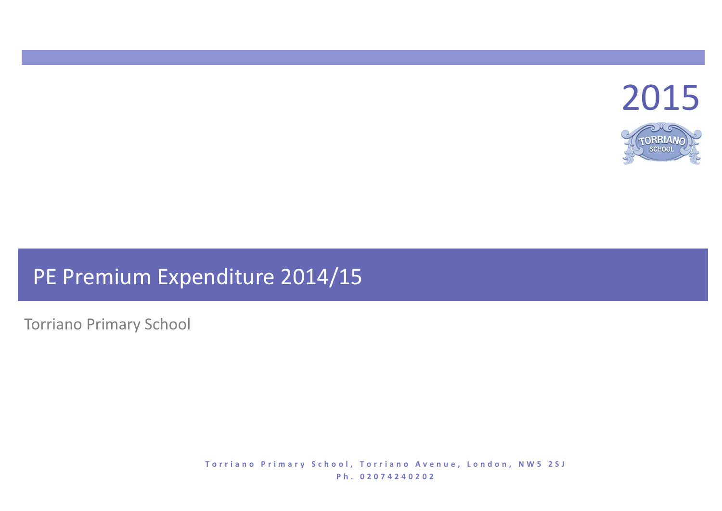

# PE Premium Expenditure 2014/15

Torriano Primary School

**T o r r i a n o P r i m a r y S c h o o l , T o r r i a n o A v e n u e , L o n d o n , N W 5 2 S J P h . 0 2 0 7 4 2 4 0 2 0 2**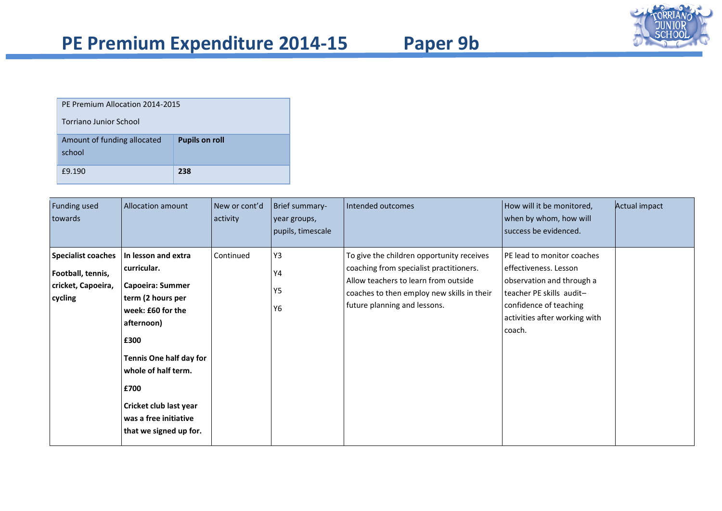

| v.<br>▲<br>r<br>٠ |  |
|-------------------|--|
|-------------------|--|

| PF Premium Allocation 2014-2015<br>Torriano Junior School |                       |  |  |  |  |
|-----------------------------------------------------------|-----------------------|--|--|--|--|
| Amount of funding allocated<br>school                     | <b>Pupils on roll</b> |  |  |  |  |
| £9.190                                                    | 238                   |  |  |  |  |

| Funding used<br>towards                                                         | Allocation amount                                                                                                                                                                                                                                                    | New or cont'd<br>activity | Brief summary-<br>year groups,<br>pupils, timescale | Intended outcomes                                                                                                                                                                                          | How will it be monitored,<br>when by whom, how will<br>success be evidenced.                                                                                                      | <b>Actual impact</b> |
|---------------------------------------------------------------------------------|----------------------------------------------------------------------------------------------------------------------------------------------------------------------------------------------------------------------------------------------------------------------|---------------------------|-----------------------------------------------------|------------------------------------------------------------------------------------------------------------------------------------------------------------------------------------------------------------|-----------------------------------------------------------------------------------------------------------------------------------------------------------------------------------|----------------------|
| <b>Specialist coaches</b><br>Football, tennis,<br>cricket, Capoeira,<br>cycling | In lesson and extra<br>curricular.<br>Capoeira: Summer<br>term (2 hours per<br>week: £60 for the<br>afternoon)<br>£300<br><b>Tennis One half day for</b><br>whole of half term.<br>£700<br>Cricket club last year<br>was a free initiative<br>that we signed up for. | Continued                 | Y3<br>Y4<br>Y5<br>Y6                                | To give the children opportunity receives<br>coaching from specialist practitioners.<br>Allow teachers to learn from outside<br>coaches to then employ new skills in their<br>future planning and lessons. | PE lead to monitor coaches<br>effectiveness. Lesson<br>observation and through a<br>teacher PE skills audit-<br>confidence of teaching<br>activities after working with<br>coach. |                      |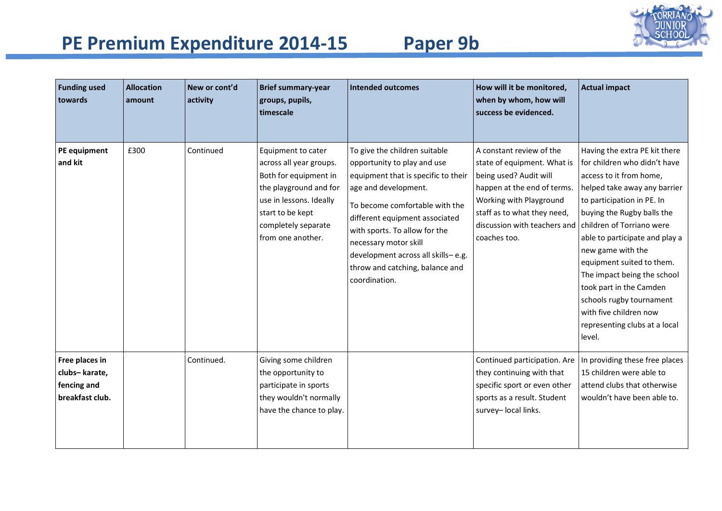

| <b>Funding used</b><br>towards                                    | <b>Allocation</b><br>amount | New or cont'd<br>activity | <b>Brief summary-year</b><br>groups, pupils,<br>timescale                                                                                                                                   | <b>Intended outcomes</b>                                                                                                                                                                                                                                                                                                                            | How will it be monitored,<br>when by whom, how will<br>success be evidenced.                                                                                                                                               | <b>Actual impact</b>                                                                                                                                                                                                                                                                                                                                                                                                                                             |
|-------------------------------------------------------------------|-----------------------------|---------------------------|---------------------------------------------------------------------------------------------------------------------------------------------------------------------------------------------|-----------------------------------------------------------------------------------------------------------------------------------------------------------------------------------------------------------------------------------------------------------------------------------------------------------------------------------------------------|----------------------------------------------------------------------------------------------------------------------------------------------------------------------------------------------------------------------------|------------------------------------------------------------------------------------------------------------------------------------------------------------------------------------------------------------------------------------------------------------------------------------------------------------------------------------------------------------------------------------------------------------------------------------------------------------------|
| PE equipment<br>and kit                                           | £300                        | Continued                 | Equipment to cater<br>across all year groups.<br>Both for equipment in<br>the playground and for<br>use in lessons. Ideally<br>start to be kept<br>completely separate<br>from one another. | To give the children suitable<br>opportunity to play and use<br>equipment that is specific to their<br>age and development.<br>To become comfortable with the<br>different equipment associated<br>with sports. To allow for the<br>necessary motor skill<br>development across all skills-e.g.<br>throw and catching, balance and<br>coordination. | A constant review of the<br>state of equipment. What is<br>being used? Audit will<br>happen at the end of terms.<br>Working with Playground<br>staff as to what they need,<br>discussion with teachers and<br>coaches too. | Having the extra PE kit there<br>for children who didn't have<br>access to it from home,<br>helped take away any barrier<br>to participation in PE. In<br>buying the Rugby balls the<br>children of Torriano were<br>able to participate and play a<br>new game with the<br>equipment suited to them.<br>The impact being the school<br>took part in the Camden<br>schools rugby tournament<br>with five children now<br>representing clubs at a local<br>level. |
| Free places in<br>clubs-karate,<br>fencing and<br>breakfast club. |                             | Continued.                | Giving some children<br>the opportunity to<br>participate in sports<br>they wouldn't normally<br>have the chance to play.                                                                   |                                                                                                                                                                                                                                                                                                                                                     | Continued participation. Are<br>they continuing with that<br>specific sport or even other<br>sports as a result. Student<br>survey- local links.                                                                           | In providing these free places<br>15 children were able to<br>attend clubs that otherwise<br>wouldn't have been able to.                                                                                                                                                                                                                                                                                                                                         |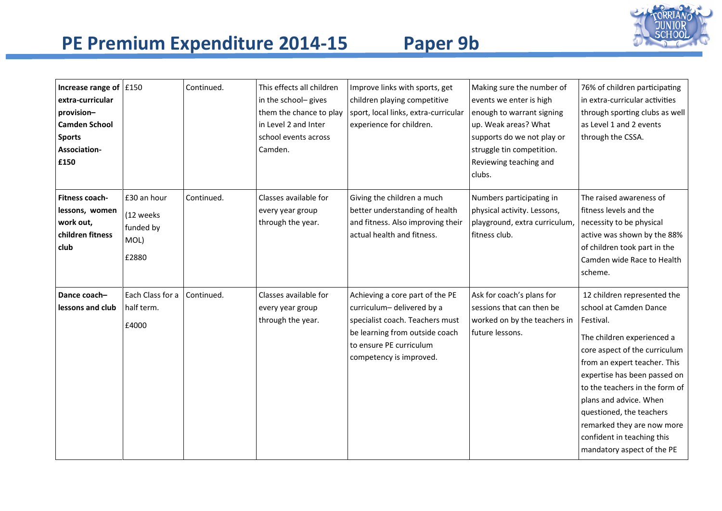

| Increase range of $\vert$ £150<br>extra-curricular<br>provision-<br><b>Camden School</b><br><b>Sports</b><br>Association-<br>£150 |                                                        | Continued. | This effects all children<br>in the school-gives<br>them the chance to play<br>in Level 2 and Inter<br>school events across<br>Camden. | Improve links with sports, get<br>children playing competitive<br>sport, local links, extra-curricular<br>experience for children.                                                      | Making sure the number of<br>events we enter is high<br>enough to warrant signing<br>up. Weak areas? What<br>supports do we not play or<br>struggle tin competition.<br>Reviewing teaching and<br>clubs. | 76% of children participating<br>in extra-curricular activities<br>through sporting clubs as well<br>as Level 1 and 2 events<br>through the CSSA.                                                                                                                                                                                                                                   |
|-----------------------------------------------------------------------------------------------------------------------------------|--------------------------------------------------------|------------|----------------------------------------------------------------------------------------------------------------------------------------|-----------------------------------------------------------------------------------------------------------------------------------------------------------------------------------------|----------------------------------------------------------------------------------------------------------------------------------------------------------------------------------------------------------|-------------------------------------------------------------------------------------------------------------------------------------------------------------------------------------------------------------------------------------------------------------------------------------------------------------------------------------------------------------------------------------|
| <b>Fitness coach-</b><br>lessons, women<br>work out,<br>children fitness<br>club                                                  | £30 an hour<br>(12 weeks<br>funded by<br>MOL)<br>£2880 | Continued. | Classes available for<br>every year group<br>through the year.                                                                         | Giving the children a much<br>better understanding of health<br>and fitness. Also improving their<br>actual health and fitness.                                                         | Numbers participating in<br>physical activity. Lessons,<br>playground, extra curriculum,<br>fitness club.                                                                                                | The raised awareness of<br>fitness levels and the<br>necessity to be physical<br>active was shown by the 88%<br>of children took part in the<br>Camden wide Race to Health<br>scheme.                                                                                                                                                                                               |
| Dance coach-<br>lessons and club                                                                                                  | Each Class for a<br>half term.<br>£4000                | Continued. | Classes available for<br>every year group<br>through the year.                                                                         | Achieving a core part of the PE<br>curriculum-delivered by a<br>specialist coach. Teachers must<br>be learning from outside coach<br>to ensure PE curriculum<br>competency is improved. | Ask for coach's plans for<br>sessions that can then be<br>worked on by the teachers in<br>future lessons.                                                                                                | 12 children represented the<br>school at Camden Dance<br>Festival.<br>The children experienced a<br>core aspect of the curriculum<br>from an expert teacher. This<br>expertise has been passed on<br>to the teachers in the form of<br>plans and advice. When<br>questioned, the teachers<br>remarked they are now more<br>confident in teaching this<br>mandatory aspect of the PE |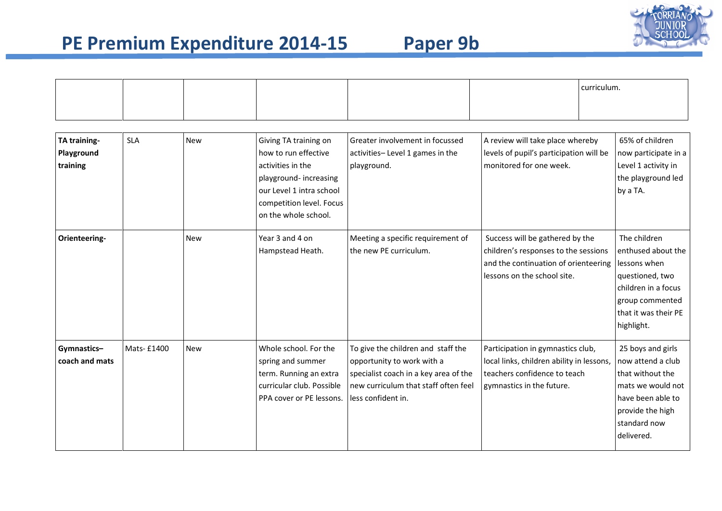

|                                        |            |            |                                                                                                                                                                             |                                                                                                                                                                         | curriculum.                                                                                                                                    |  |                                                                                                                                                        |
|----------------------------------------|------------|------------|-----------------------------------------------------------------------------------------------------------------------------------------------------------------------------|-------------------------------------------------------------------------------------------------------------------------------------------------------------------------|------------------------------------------------------------------------------------------------------------------------------------------------|--|--------------------------------------------------------------------------------------------------------------------------------------------------------|
|                                        |            |            |                                                                                                                                                                             |                                                                                                                                                                         |                                                                                                                                                |  |                                                                                                                                                        |
| TA training-<br>Playground<br>training | <b>SLA</b> | <b>New</b> | Giving TA training on<br>how to run effective<br>activities in the<br>playground-increasing<br>our Level 1 intra school<br>competition level. Focus<br>on the whole school. | Greater involvement in focussed<br>activities-Level 1 games in the<br>playground.                                                                                       | A review will take place whereby<br>levels of pupil's participation will be<br>monitored for one week.                                         |  | 65% of children<br>now participate in a<br>Level 1 activity in<br>the playground led<br>by a TA.                                                       |
| Orienteering-                          |            | <b>New</b> | Year 3 and 4 on<br>Hampstead Heath.                                                                                                                                         | Meeting a specific requirement of<br>the new PE curriculum.                                                                                                             | Success will be gathered by the<br>children's responses to the sessions<br>and the continuation of orienteering<br>lessons on the school site. |  | The children<br>enthused about the<br>lessons when<br>questioned, two<br>children in a focus<br>group commented<br>that it was their PE<br>highlight.  |
| Gymnastics-<br>coach and mats          | Mats-£1400 | <b>New</b> | Whole school. For the<br>spring and summer<br>term. Running an extra<br>curricular club. Possible<br>PPA cover or PE lessons.                                               | To give the children and staff the<br>opportunity to work with a<br>specialist coach in a key area of the<br>new curriculum that staff often feel<br>less confident in. | Participation in gymnastics club,<br>local links, children ability in lessons,<br>teachers confidence to teach<br>gymnastics in the future.    |  | 25 boys and girls<br>now attend a club<br>that without the<br>mats we would not<br>have been able to<br>provide the high<br>standard now<br>delivered. |